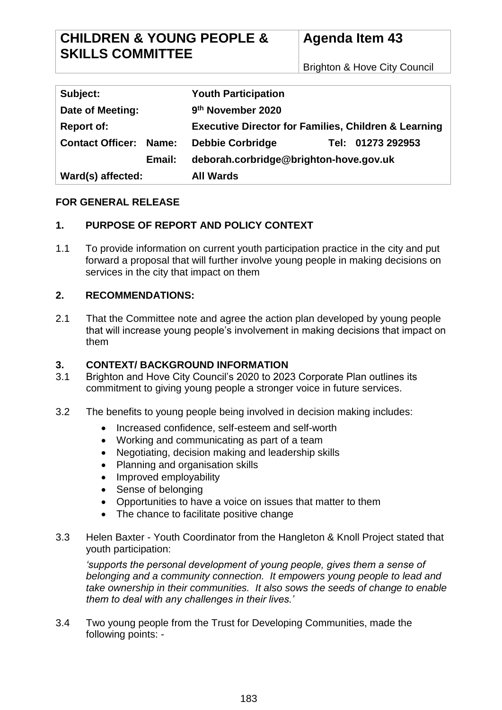Brighton & Hove City Council

| Subject:                      | <b>Youth Participation</b>                                      |
|-------------------------------|-----------------------------------------------------------------|
| Date of Meeting:              | 9 <sup>th</sup> November 2020                                   |
| <b>Report of:</b>             | <b>Executive Director for Families, Children &amp; Learning</b> |
| <b>Contact Officer: Name:</b> | <b>Debbie Corbridge</b><br>Tel: 01273 292953                    |
| Email:                        | deborah.corbridge@brighton-hove.gov.uk                          |
| Ward(s) affected:             | <b>All Wards</b>                                                |

## **FOR GENERAL RELEASE**

# **1. PURPOSE OF REPORT AND POLICY CONTEXT**

1.1 To provide information on current youth participation practice in the city and put forward a proposal that will further involve young people in making decisions on services in the city that impact on them

## **2. RECOMMENDATIONS:**

2.1 That the Committee note and agree the action plan developed by young people that will increase young people's involvement in making decisions that impact on them

### **3. CONTEXT/ BACKGROUND INFORMATION**

- 3.1 Brighton and Hove City Council's 2020 to 2023 Corporate Plan outlines its commitment to giving young people a stronger voice in future services.
- 3.2 The benefits to young people being involved in decision making includes:
	- Increased confidence, self-esteem and self-worth
	- Working and communicating as part of a team
	- Negotiating, decision making and leadership skills
	- Planning and organisation skills
	- Improved employability
	- Sense of belonging
	- Opportunities to have a voice on issues that matter to them
	- The chance to facilitate positive change
- 3.3 Helen Baxter Youth Coordinator from the Hangleton & Knoll Project stated that youth participation:

*'supports the personal development of young people, gives them a sense of belonging and a community connection. It empowers young people to lead and take ownership in their communities. It also sows the seeds of change to enable them to deal with any challenges in their lives.'*

3.4 Two young people from the Trust for Developing Communities, made the following points: -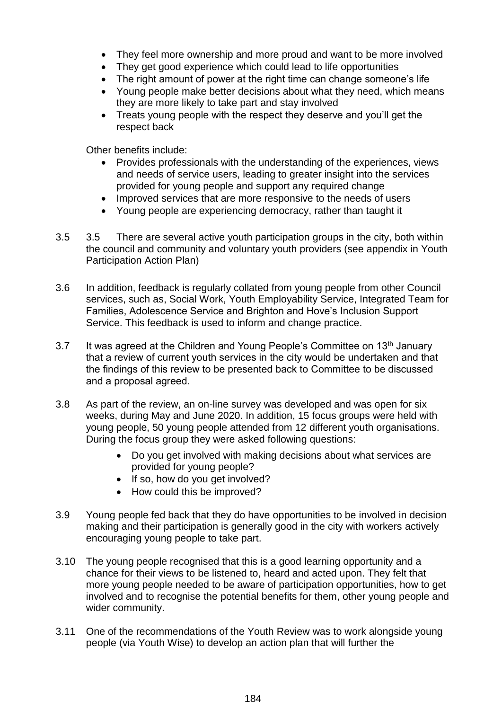- They feel more ownership and more proud and want to be more involved
- They get good experience which could lead to life opportunities
- The right amount of power at the right time can change someone's life
- Young people make better decisions about what they need, which means they are more likely to take part and stay involved
- Treats young people with the respect they deserve and you'll get the respect back

Other benefits include:

- Provides professionals with the understanding of the experiences, views and needs of service users, leading to greater insight into the services provided for young people and support any required change
- Improved services that are more responsive to the needs of users
- Young people are experiencing democracy, rather than taught it
- 3.5 3.5 There are several active youth participation groups in the city, both within the council and community and voluntary youth providers (see appendix in Youth Participation Action Plan)
- 3.6 In addition, feedback is regularly collated from young people from other Council services, such as, Social Work, Youth Employability Service, Integrated Team for Families, Adolescence Service and Brighton and Hove's Inclusion Support Service. This feedback is used to inform and change practice.
- 3.7 It was agreed at the Children and Young People's Committee on  $13<sup>th</sup>$  January that a review of current youth services in the city would be undertaken and that the findings of this review to be presented back to Committee to be discussed and a proposal agreed.
- 3.8 As part of the review, an on-line survey was developed and was open for six weeks, during May and June 2020. In addition, 15 focus groups were held with young people, 50 young people attended from 12 different youth organisations. During the focus group they were asked following questions:
	- Do you get involved with making decisions about what services are provided for young people?
	- If so, how do you get involved?
	- How could this be improved?
- 3.9 Young people fed back that they do have opportunities to be involved in decision making and their participation is generally good in the city with workers actively encouraging young people to take part.
- 3.10 The young people recognised that this is a good learning opportunity and a chance for their views to be listened to, heard and acted upon. They felt that more young people needed to be aware of participation opportunities, how to get involved and to recognise the potential benefits for them, other young people and wider community.
- 3.11 One of the recommendations of the Youth Review was to work alongside young people (via Youth Wise) to develop an action plan that will further the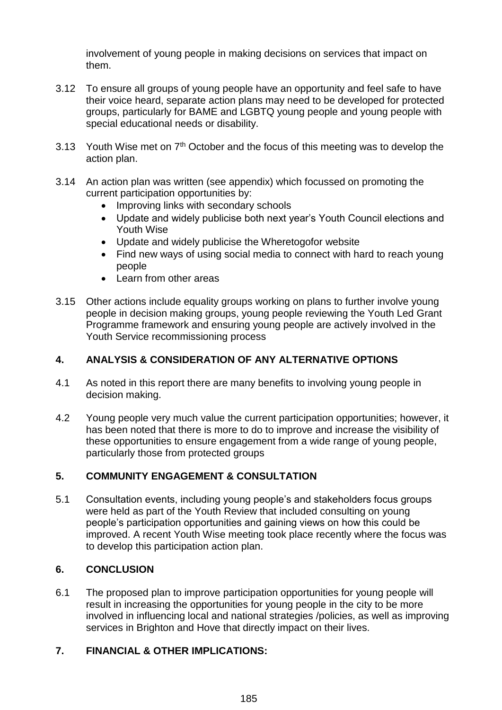involvement of young people in making decisions on services that impact on them.

- 3.12 To ensure all groups of young people have an opportunity and feel safe to have their voice heard, separate action plans may need to be developed for protected groups, particularly for BAME and LGBTQ young people and young people with special educational needs or disability.
- 3.13 Youth Wise met on  $7<sup>th</sup>$  October and the focus of this meeting was to develop the action plan.
- 3.14 An action plan was written (see appendix) which focussed on promoting the current participation opportunities by:
	- Improving links with secondary schools
	- Update and widely publicise both next year's Youth Council elections and Youth Wise
	- Update and widely publicise the Wheretogofor website
	- Find new ways of using social media to connect with hard to reach young people
	- Learn from other areas
- 3.15 Other actions include equality groups working on plans to further involve young people in decision making groups, young people reviewing the Youth Led Grant Programme framework and ensuring young people are actively involved in the Youth Service recommissioning process

## **4. ANALYSIS & CONSIDERATION OF ANY ALTERNATIVE OPTIONS**

- 4.1 As noted in this report there are many benefits to involving young people in decision making.
- 4.2 Young people very much value the current participation opportunities; however, it has been noted that there is more to do to improve and increase the visibility of these opportunities to ensure engagement from a wide range of young people, particularly those from protected groups

### **5. COMMUNITY ENGAGEMENT & CONSULTATION**

5.1 Consultation events, including young people's and stakeholders focus groups were held as part of the Youth Review that included consulting on young people's participation opportunities and gaining views on how this could be improved. A recent Youth Wise meeting took place recently where the focus was to develop this participation action plan.

## **6. CONCLUSION**

6.1 The proposed plan to improve participation opportunities for young people will result in increasing the opportunities for young people in the city to be more involved in influencing local and national strategies /policies, as well as improving services in Brighton and Hove that directly impact on their lives.

## **7. FINANCIAL & OTHER IMPLICATIONS:**